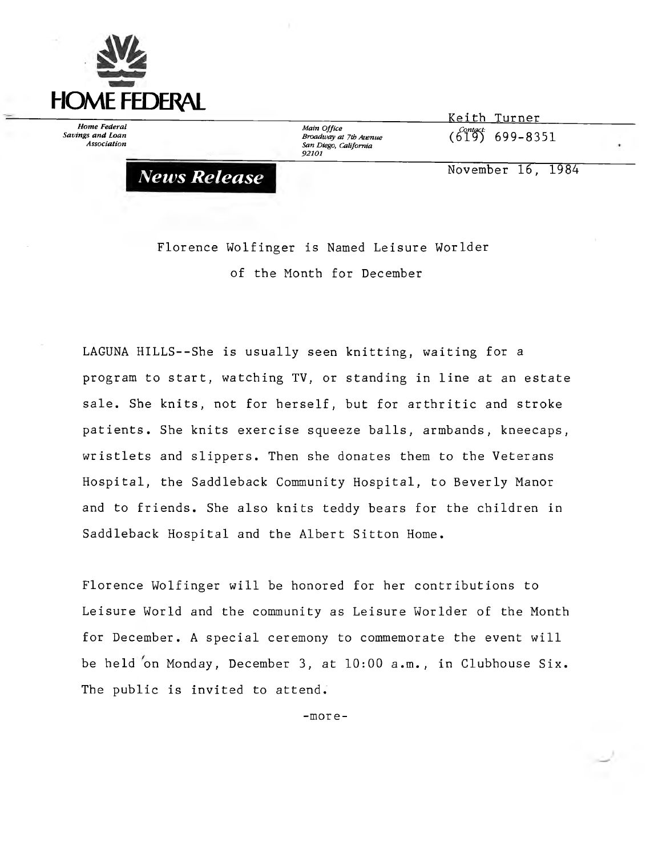

*News Release*

*Home Federal Savings and Loan Association*

*Main Office Broadway at 7th Avenue San Diego, California 92101*

**Keith Turner\_\_\_\_\_ 619- 699-8351**

**November 16, 1984**

**Florence Wolfinger is Named Leisure Worlder of the Month for December**

**LAGUNA HILLS--She is usually seen knitting, waiting for a program to start, watching TV, or standing in line at an estate sale. She knits, not for herself, but for arthritic and stroke patients. She knits exercise squeeze balls, armbands, kneecaps, wristlets and slippers. Then she donates them to the Veterans Hospital, the Saddleback Community Hospital, to Beverly Manor and to friends. She also knits teddy bears for the children in Saddleback Hospital and the Albert Sitton Home.**

**Florence Wolfinger will be honored for her contributions to Leisure World and the community as Leisure Worlder of the Month for December. A special ceremony to commemorate the event will be held on Monday, December 3, at 10:00 a.m., in Clubhouse Six. The public is invited to attend.**

**-more-**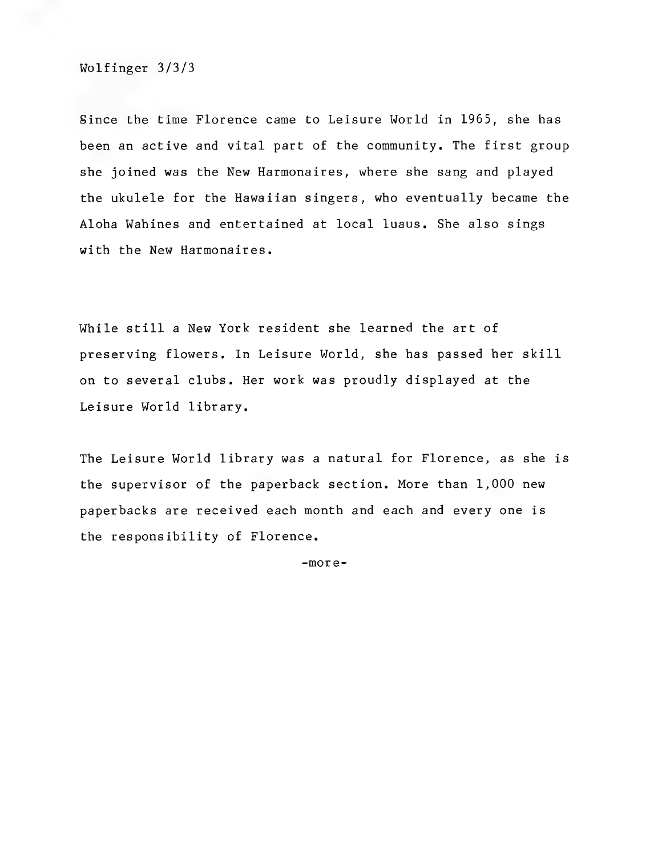**Wolfinger 3/3/3**

**Since the time Florence came to Leisure World in 1965, she has been an active and vital part of the community. The first group she joined was the New Harmonaires, where she sang and played the ukulele for the Hawaiian singers, who eventually became the Aloha Wahines and entertained at local luaus. She also sings with the New Harmonaires.**

**While still a New York resident she learned the art of preserving flowers. In Leisure World, she has passed her skill on to several clubs. Her work was proudly displayed at the Leisure World library.**

**The Leisure World library was a natural for Florence, as she is the supervisor of the paperback section. More than 1,000 new paperbacks are received each month and each and every one is the responsibility of Florence.**

**-more-**